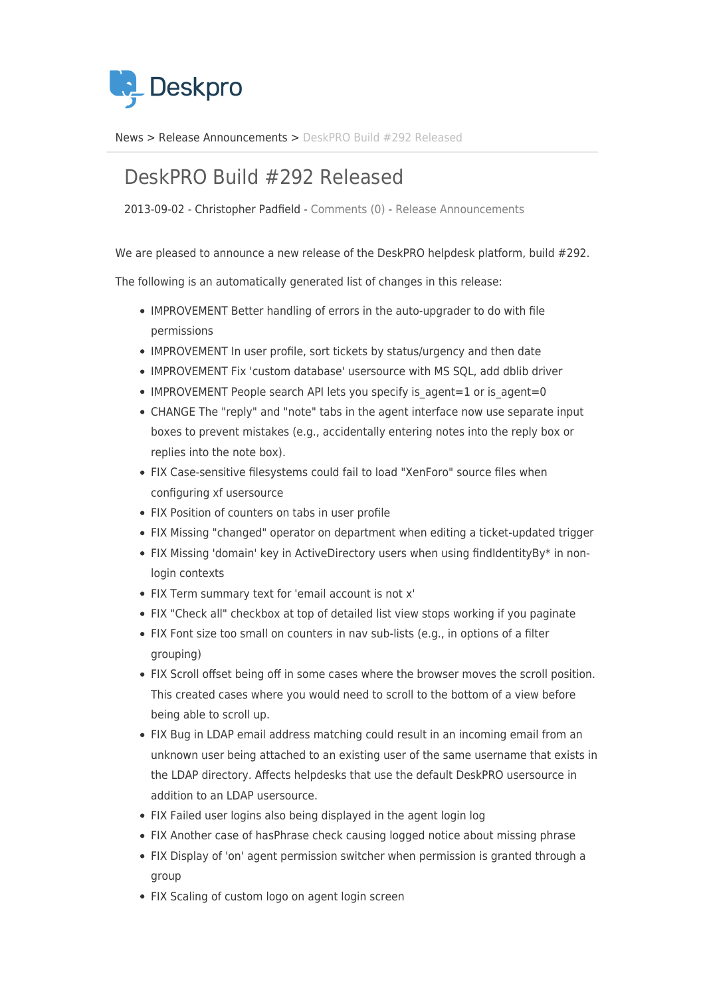

[News](https://support.deskpro.com/vi/news) > [Release Announcements](https://support.deskpro.com/vi/news/release-announcements) > [DeskPRO Build #292 Released](https://support.deskpro.com/vi/news/posts/deskpro-build-292-released)

## DeskPRO Build #292 Released

2013-09-02 - Christopher Padfield - [Comments \(0\)](#page--1-0) - [Release Announcements](https://support.deskpro.com/vi/news/release-announcements)

We are pleased to announce a new release of the DeskPRO helpdesk platform, build #292.

The following is an automatically generated list of changes in this release:

- IMPROVEMENT Better handling of errors in the auto-upgrader to do with file permissions
- IMPROVEMENT In user profile, sort tickets by status/urgency and then date
- IMPROVEMENT Fix 'custom database' usersource with MS SQL, add dblib driver
- IMPROVEMENT People search API lets you specify is agent=1 or is agent=0
- CHANGE The "reply" and "note" tabs in the agent interface now use separate input boxes to prevent mistakes (e.g., accidentally entering notes into the reply box or replies into the note box).
- FIX Case-sensitive filesystems could fail to load "XenForo" source files when configuring xf usersource
- FIX Position of counters on tabs in user profile
- FIX Missing "changed" operator on department when editing a ticket-updated trigger
- FIX Missing 'domain' key in ActiveDirectory users when using findIdentityBy\* in nonlogin contexts
- FIX Term summary text for 'email account is not x'
- FIX "Check all" checkbox at top of detailed list view stops working if you paginate
- FIX Font size too small on counters in nav sub-lists (e.g., in options of a filter grouping)
- FIX Scroll offset being off in some cases where the browser moves the scroll position. This created cases where you would need to scroll to the bottom of a view before being able to scroll up.
- FIX Bug in LDAP email address matching could result in an incoming email from an unknown user being attached to an existing user of the same username that exists in the LDAP directory. Affects helpdesks that use the default DeskPRO usersource in addition to an LDAP usersource.
- FIX Failed user logins also being displayed in the agent login log
- FIX Another case of hasPhrase check causing logged notice about missing phrase
- FIX Display of 'on' agent permission switcher when permission is granted through a group
- FIX Scaling of custom logo on agent login screen